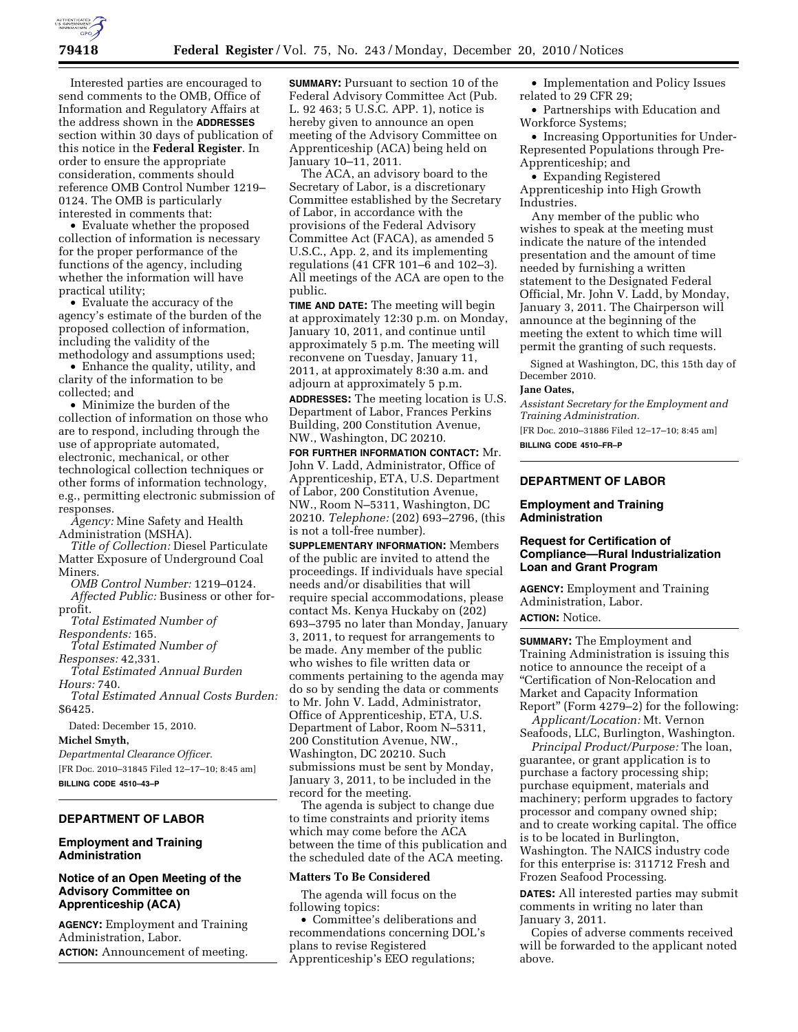

Interested parties are encouraged to send comments to the OMB, Office of Information and Regulatory Affairs at the address shown in the **ADDRESSES** section within 30 days of publication of this notice in the **Federal Register**. In order to ensure the appropriate consideration, comments should reference OMB Control Number 1219– 0124. The OMB is particularly interested in comments that:

• Evaluate whether the proposed collection of information is necessary for the proper performance of the functions of the agency, including whether the information will have practical utility;

• Evaluate the accuracy of the agency's estimate of the burden of the proposed collection of information, including the validity of the methodology and assumptions used;

• Enhance the quality, utility, and clarity of the information to be collected; and

• Minimize the burden of the collection of information on those who are to respond, including through the use of appropriate automated, electronic, mechanical, or other technological collection techniques or other forms of information technology, e.g., permitting electronic submission of responses.

*Agency:* Mine Safety and Health Administration (MSHA).

*Title of Collection:* Diesel Particulate Matter Exposure of Underground Coal Miners.

*OMB Control Number:* 1219–0124. *Affected Public:* Business or other forprofit.

*Total Estimated Number of Respondents:* 165.

*Total Estimated Number of* 

*Responses:* 42,331.

*Total Estimated Annual Burden Hours:* 740.

*Total Estimated Annual Costs Burden:*  \$6425.

Dated: December 15, 2010.

#### **Michel Smyth,**

*Departmental Clearance Officer.*  [FR Doc. 2010–31845 Filed 12–17–10; 8:45 am] **BILLING CODE 4510–43–P** 

# **DEPARTMENT OF LABOR**

#### **Employment and Training Administration**

### **Notice of an Open Meeting of the Advisory Committee on Apprenticeship (ACA)**

**AGENCY:** Employment and Training Administration, Labor. **ACTION:** Announcement of meeting.

**SUMMARY:** Pursuant to section 10 of the Federal Advisory Committee Act (Pub. L. 92 463; 5 U.S.C. APP. 1), notice is hereby given to announce an open meeting of the Advisory Committee on Apprenticeship (ACA) being held on January 10–11, 2011.

The ACA, an advisory board to the Secretary of Labor, is a discretionary Committee established by the Secretary of Labor, in accordance with the provisions of the Federal Advisory Committee Act (FACA), as amended 5 U.S.C., App. 2, and its implementing regulations (41 CFR 101–6 and 102–3). All meetings of the ACA are open to the public.

**TIME AND DATE:** The meeting will begin at approximately 12:30 p.m. on Monday, January 10, 2011, and continue until approximately 5 p.m. The meeting will reconvene on Tuesday, January 11, 2011, at approximately 8:30 a.m. and adjourn at approximately 5 p.m.

**ADDRESSES:** The meeting location is U.S. Department of Labor, Frances Perkins Building, 200 Constitution Avenue, NW., Washington, DC 20210.

**FOR FURTHER INFORMATION CONTACT:** Mr. John V. Ladd, Administrator, Office of Apprenticeship, ETA, U.S. Department of Labor, 200 Constitution Avenue, NW., Room N–5311, Washington, DC 20210. *Telephone:* (202) 693–2796, (this is not a toll-free number).

**SUPPLEMENTARY INFORMATION:** Members of the public are invited to attend the proceedings. If individuals have special needs and/or disabilities that will require special accommodations, please contact Ms. Kenya Huckaby on (202) 693–3795 no later than Monday, January 3, 2011, to request for arrangements to be made. Any member of the public who wishes to file written data or comments pertaining to the agenda may do so by sending the data or comments to Mr. John V. Ladd, Administrator, Office of Apprenticeship, ETA, U.S. Department of Labor, Room N–5311, 200 Constitution Avenue, NW., Washington, DC 20210. Such submissions must be sent by Monday, January 3, 2011, to be included in the record for the meeting.

The agenda is subject to change due to time constraints and priority items which may come before the ACA between the time of this publication and the scheduled date of the ACA meeting.

#### **Matters To Be Considered**

The agenda will focus on the following topics:

• Committee's deliberations and recommendations concerning DOL's plans to revise Registered Apprenticeship's EEO regulations;

• Implementation and Policy Issues related to 29 CFR 29;

• Partnerships with Education and Workforce Systems;

• Increasing Opportunities for Under-Represented Populations through Pre-Apprenticeship; and

• Expanding Registered Apprenticeship into High Growth Industries.

Any member of the public who wishes to speak at the meeting must indicate the nature of the intended presentation and the amount of time needed by furnishing a written statement to the Designated Federal Official, Mr. John V. Ladd, by Monday, January 3, 2011. The Chairperson will announce at the beginning of the meeting the extent to which time will permit the granting of such requests.

Signed at Washington, DC, this 15th day of December 2010.

## **Jane Oates,**

*Assistant Secretary for the Employment and Training Administration.* 

[FR Doc. 2010–31886 Filed 12–17–10; 8:45 am] **BILLING CODE 4510–FR–P** 

# **DEPARTMENT OF LABOR**

#### **Employment and Training Administration**

# **Request for Certification of Compliance—Rural Industrialization Loan and Grant Program**

**AGENCY:** Employment and Training Administration, Labor.

# **ACTION:** Notice.

**SUMMARY:** The Employment and Training Administration is issuing this notice to announce the receipt of a ''Certification of Non-Relocation and Market and Capacity Information Report'' (Form 4279–2) for the following:

*Applicant/Location:* Mt. Vernon Seafoods, LLC, Burlington, Washington.

*Principal Product/Purpose:* The loan, guarantee, or grant application is to purchase a factory processing ship; purchase equipment, materials and machinery; perform upgrades to factory processor and company owned ship; and to create working capital. The office is to be located in Burlington, Washington. The NAICS industry code for this enterprise is: 311712 Fresh and Frozen Seafood Processing.

**DATES:** All interested parties may submit comments in writing no later than January 3, 2011.

Copies of adverse comments received will be forwarded to the applicant noted above.